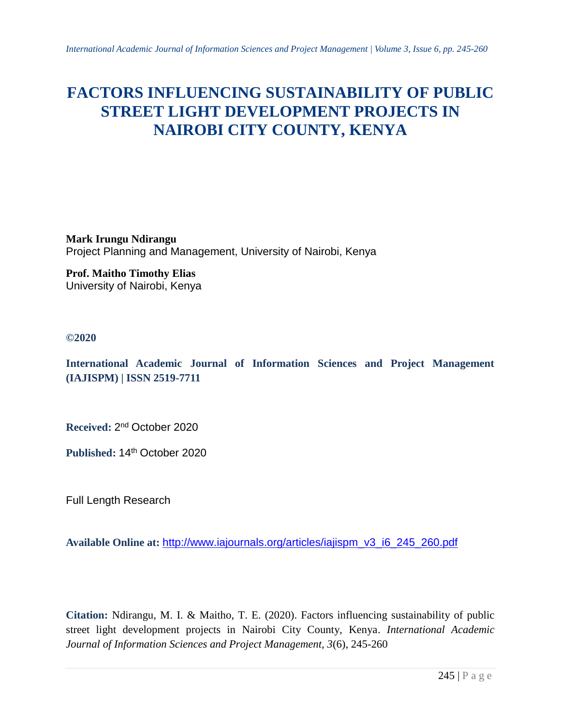# **FACTORS INFLUENCING SUSTAINABILITY OF PUBLIC STREET LIGHT DEVELOPMENT PROJECTS IN NAIROBI CITY COUNTY, KENYA**

**Mark Irungu Ndirangu** Project Planning and Management, University of Nairobi, Kenya

**Prof. Maitho Timothy Elias** University of Nairobi, Kenya

## **©2020**

**International Academic Journal of Information Sciences and Project Management (IAJISPM) | ISSN 2519-7711**

**Received:** 2 nd October 2020

Published: 14<sup>th</sup> October 2020

Full Length Research

**Available Online at:** http://www.iajournals.org/articles/iajispm\_v3\_i6\_245\_260.pdf

**Citation:** Ndirangu, M. I. & Maitho, T. E. (2020). Factors influencing sustainability of public street light development projects in Nairobi City County, Kenya. *International Academic Journal of Information Sciences and Project Management, 3*(6), 245-260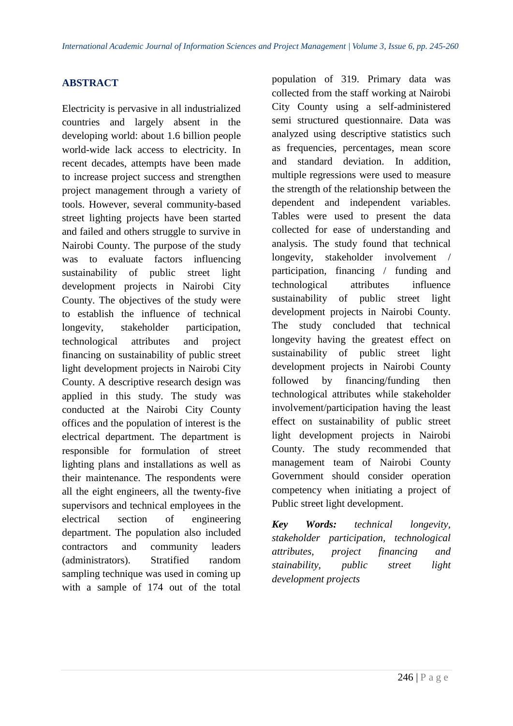# **ABSTRACT**

Electricity is pervasive in all industrialized countries and largely absent in the developing world: about 1.6 billion people world-wide lack access to electricity. In recent decades, attempts have been made to increase project success and strengthen project management through a variety of tools. However, several community-based street lighting projects have been started and failed and others struggle to survive in Nairobi County. The purpose of the study was to evaluate factors influencing sustainability of public street light development projects in Nairobi City County. The objectives of the study were to establish the influence of technical longevity, stakeholder participation, technological attributes and project financing on sustainability of public street light development projects in Nairobi City County. A descriptive research design was applied in this study. The study was conducted at the Nairobi City County offices and the population of interest is the electrical department. The department is responsible for formulation of street lighting plans and installations as well as their maintenance. The respondents were all the eight engineers, all the twenty-five supervisors and technical employees in the electrical section of engineering department. The population also included contractors and community leaders (administrators). Stratified random sampling technique was used in coming up with a sample of 174 out of the total

population of 319. Primary data was collected from the staff working at Nairobi City County using a self-administered semi structured questionnaire. Data was analyzed using descriptive statistics such as frequencies, percentages, mean score and standard deviation. In addition, multiple regressions were used to measure the strength of the relationship between the dependent and independent variables. Tables were used to present the data collected for ease of understanding and analysis. The study found that technical longevity, stakeholder involvement / participation, financing / funding and technological attributes influence sustainability of public street light development projects in Nairobi County. The study concluded that technical longevity having the greatest effect on sustainability of public street light development projects in Nairobi County followed by financing/funding then technological attributes while stakeholder involvement/participation having the least effect on sustainability of public street light development projects in Nairobi County. The study recommended that management team of Nairobi County Government should consider operation competency when initiating a project of Public street light development.

*Key Words: technical longevity, stakeholder participation, technological attributes, project financing and stainability, public street light development projects*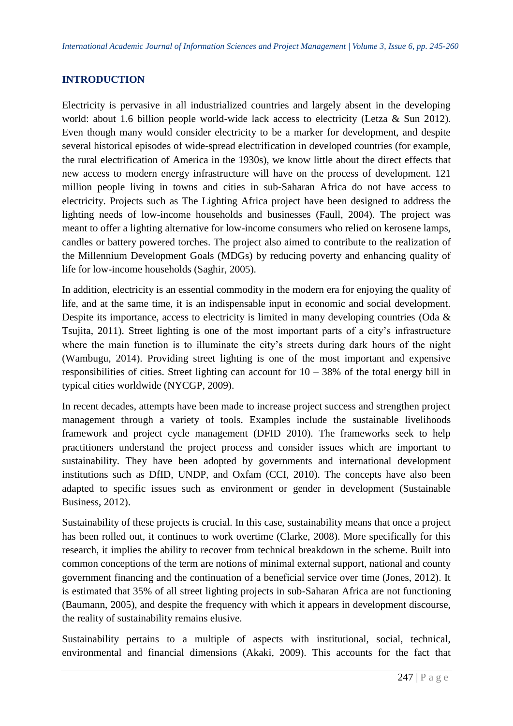## **INTRODUCTION**

Electricity is pervasive in all industrialized countries and largely absent in the developing world: about 1.6 billion people world-wide lack access to electricity (Letza & Sun 2012). Even though many would consider electricity to be a marker for development, and despite several historical episodes of wide-spread electrification in developed countries (for example, the rural electrification of America in the 1930s), we know little about the direct effects that new access to modern energy infrastructure will have on the process of development. 121 million people living in towns and cities in sub-Saharan Africa do not have access to electricity. Projects such as The Lighting Africa project have been designed to address the lighting needs of low-income households and businesses (Faull, 2004). The project was meant to offer a lighting alternative for low-income consumers who relied on kerosene lamps, candles or battery powered torches. The project also aimed to contribute to the realization of the Millennium Development Goals (MDGs) by reducing poverty and enhancing quality of life for low-income households (Saghir, 2005).

In addition, electricity is an essential commodity in the modern era for enjoying the quality of life, and at the same time, it is an indispensable input in economic and social development. Despite its importance, access to electricity is limited in many developing countries (Oda & Tsujita, 2011). Street lighting is one of the most important parts of a city's infrastructure where the main function is to illuminate the city's streets during dark hours of the night (Wambugu, 2014). Providing street lighting is one of the most important and expensive responsibilities of cities. Street lighting can account for  $10 - 38%$  of the total energy bill in typical cities worldwide (NYCGP, 2009).

In recent decades, attempts have been made to increase project success and strengthen project management through a variety of tools. Examples include the sustainable livelihoods framework and project cycle management (DFID 2010). The frameworks seek to help practitioners understand the project process and consider issues which are important to sustainability. They have been adopted by governments and international development institutions such as DfID, UNDP, and Oxfam (CCI, 2010). The concepts have also been adapted to specific issues such as environment or gender in development (Sustainable Business, 2012).

Sustainability of these projects is crucial. In this case, sustainability means that once a project has been rolled out, it continues to work overtime (Clarke, 2008). More specifically for this research, it implies the ability to recover from technical breakdown in the scheme. Built into common conceptions of the term are notions of minimal external support, national and county government financing and the continuation of a beneficial service over time (Jones, 2012). It is estimated that 35% of all street lighting projects in sub-Saharan Africa are not functioning (Baumann, 2005), and despite the frequency with which it appears in development discourse, the reality of sustainability remains elusive.

Sustainability pertains to a multiple of aspects with institutional, social, technical, environmental and financial dimensions (Akaki, 2009). This accounts for the fact that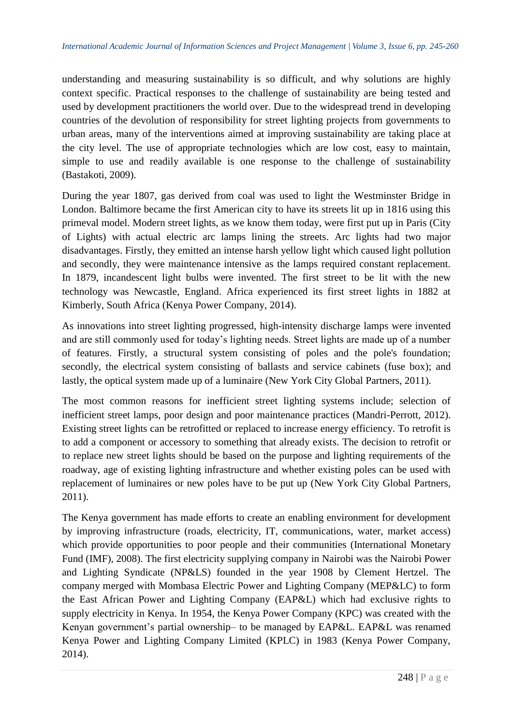understanding and measuring sustainability is so difficult, and why solutions are highly context specific. Practical responses to the challenge of sustainability are being tested and used by development practitioners the world over. Due to the widespread trend in developing countries of the devolution of responsibility for street lighting projects from governments to urban areas, many of the interventions aimed at improving sustainability are taking place at the city level. The use of appropriate technologies which are low cost, easy to maintain, simple to use and readily available is one response to the challenge of sustainability (Bastakoti, 2009).

During the year 1807, gas derived from coal was used to light the Westminster Bridge in London. Baltimore became the first American city to have its streets lit up in 1816 using this primeval model. Modern street lights, as we know them today, were first put up in Paris (City of Lights) with actual electric arc lamps lining the streets. Arc lights had two major disadvantages. Firstly, they emitted an intense harsh yellow light which caused light pollution and secondly, they were maintenance intensive as the lamps required constant replacement. In 1879, incandescent light bulbs were invented. The first street to be lit with the new technology was Newcastle, England. Africa experienced its first street lights in 1882 at Kimberly, South Africa (Kenya Power Company, 2014).

As innovations into street lighting progressed, high-intensity discharge lamps were invented and are still commonly used for today's lighting needs. Street lights are made up of a number of features. Firstly, a structural system consisting of poles and the pole's foundation; secondly, the electrical system consisting of ballasts and service cabinets (fuse box); and lastly, the optical system made up of a luminaire (New York City Global Partners, 2011).

The most common reasons for inefficient street lighting systems include; selection of inefficient street lamps, poor design and poor maintenance practices (Mandri-Perrott, 2012). Existing street lights can be retrofitted or replaced to increase energy efficiency. To retrofit is to add a component or accessory to something that already exists. The decision to retrofit or to replace new street lights should be based on the purpose and lighting requirements of the roadway, age of existing lighting infrastructure and whether existing poles can be used with replacement of luminaires or new poles have to be put up (New York City Global Partners, 2011).

The Kenya government has made efforts to create an enabling environment for development by improving infrastructure (roads, electricity, IT, communications, water, market access) which provide opportunities to poor people and their communities (International Monetary Fund (IMF), 2008). The first electricity supplying company in Nairobi was the Nairobi Power and Lighting Syndicate (NP&LS) founded in the year 1908 by Clement Hertzel. The company merged with Mombasa Electric Power and Lighting Company (MEP&LC) to form the East African Power and Lighting Company (EAP&L) which had exclusive rights to supply electricity in Kenya. In 1954, the Kenya Power Company (KPC) was created with the Kenyan government's partial ownership– to be managed by EAP&L. EAP&L was renamed Kenya Power and Lighting Company Limited (KPLC) in 1983 (Kenya Power Company, 2014).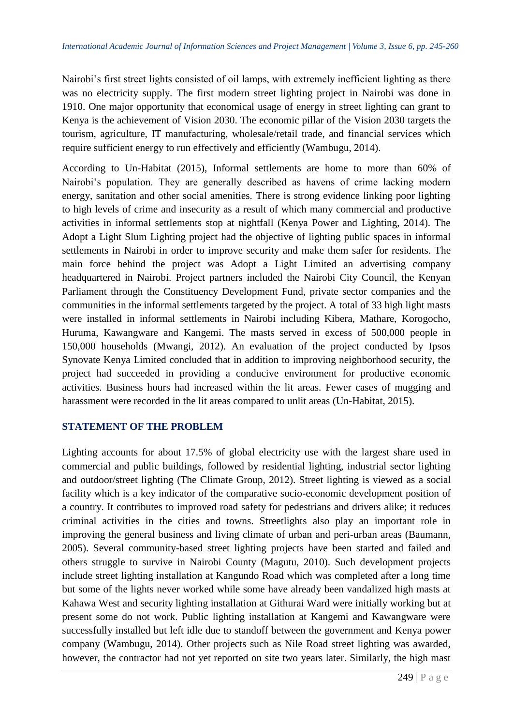Nairobi's first street lights consisted of oil lamps, with extremely inefficient lighting as there was no electricity supply. The first modern street lighting project in Nairobi was done in 1910. One major opportunity that economical usage of energy in street lighting can grant to Kenya is the achievement of Vision 2030. The economic pillar of the Vision 2030 targets the tourism, agriculture, IT manufacturing, wholesale/retail trade, and financial services which require sufficient energy to run effectively and efficiently (Wambugu, 2014).

According to Un-Habitat (2015), Informal settlements are home to more than 60% of Nairobi's population. They are generally described as havens of crime lacking modern energy, sanitation and other social amenities. There is strong evidence linking poor lighting to high levels of crime and insecurity as a result of which many commercial and productive activities in informal settlements stop at nightfall (Kenya Power and Lighting, 2014). The Adopt a Light Slum Lighting project had the objective of lighting public spaces in informal settlements in Nairobi in order to improve security and make them safer for residents. The main force behind the project was Adopt a Light Limited an advertising company headquartered in Nairobi. Project partners included the Nairobi City Council, the Kenyan Parliament through the Constituency Development Fund, private sector companies and the communities in the informal settlements targeted by the project. A total of 33 high light masts were installed in informal settlements in Nairobi including Kibera, Mathare, Korogocho, Huruma, Kawangware and Kangemi. The masts served in excess of 500,000 people in 150,000 households (Mwangi, 2012). An evaluation of the project conducted by Ipsos Synovate Kenya Limited concluded that in addition to improving neighborhood security, the project had succeeded in providing a conducive environment for productive economic activities. Business hours had increased within the lit areas. Fewer cases of mugging and harassment were recorded in the lit areas compared to unlit areas (Un-Habitat, 2015).

## **STATEMENT OF THE PROBLEM**

Lighting accounts for about 17.5% of global electricity use with the largest share used in commercial and public buildings, followed by residential lighting, industrial sector lighting and outdoor/street lighting (The Climate Group, 2012). Street lighting is viewed as a social facility which is a key indicator of the comparative socio-economic development position of a country. It contributes to improved road safety for pedestrians and drivers alike; it reduces criminal activities in the cities and towns. Streetlights also play an important role in improving the general business and living climate of urban and peri-urban areas (Baumann, 2005). Several community-based street lighting projects have been started and failed and others struggle to survive in Nairobi County (Magutu, 2010). Such development projects include street lighting installation at Kangundo Road which was completed after a long time but some of the lights never worked while some have already been vandalized high masts at Kahawa West and security lighting installation at Githurai Ward were initially working but at present some do not work. Public lighting installation at Kangemi and Kawangware were successfully installed but left idle due to standoff between the government and Kenya power company (Wambugu, 2014). Other projects such as Nile Road street lighting was awarded, however, the contractor had not yet reported on site two years later. Similarly, the high mast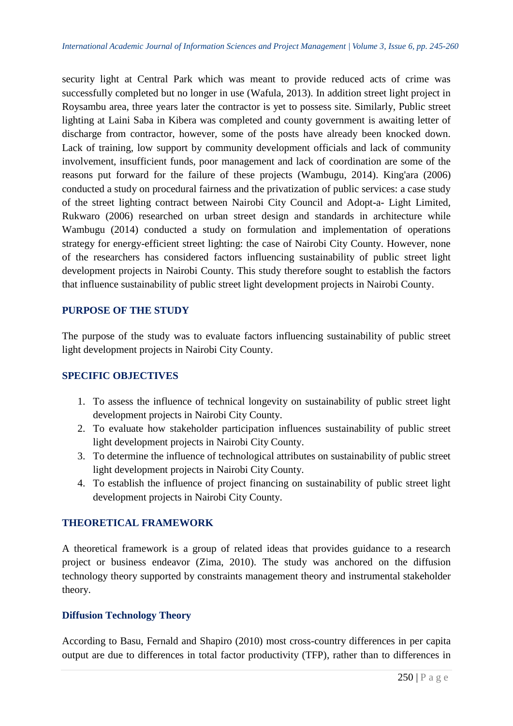security light at Central Park which was meant to provide reduced acts of crime was successfully completed but no longer in use (Wafula, 2013). In addition street light project in Roysambu area, three years later the contractor is yet to possess site. Similarly, Public street lighting at Laini Saba in Kibera was completed and county government is awaiting letter of discharge from contractor, however, some of the posts have already been knocked down. Lack of training, low support by community development officials and lack of community involvement, insufficient funds, poor management and lack of coordination are some of the reasons put forward for the failure of these projects (Wambugu, 2014). King'ara (2006) conducted a study on procedural fairness and the privatization of public services: a case study of the street lighting contract between Nairobi City Council and Adopt-a- Light Limited, Rukwaro (2006) researched on urban street design and standards in architecture while Wambugu (2014) conducted a study on formulation and implementation of operations strategy for energy-efficient street lighting: the case of Nairobi City County. However, none of the researchers has considered factors influencing sustainability of public street light development projects in Nairobi County. This study therefore sought to establish the factors that influence sustainability of public street light development projects in Nairobi County.

#### **PURPOSE OF THE STUDY**

The purpose of the study was to evaluate factors influencing sustainability of public street light development projects in Nairobi City County.

## **SPECIFIC OBJECTIVES**

- 1. To assess the influence of technical longevity on sustainability of public street light development projects in Nairobi City County.
- 2. To evaluate how stakeholder participation influences sustainability of public street light development projects in Nairobi City County.
- 3. To determine the influence of technological attributes on sustainability of public street light development projects in Nairobi City County.
- 4. To establish the influence of project financing on sustainability of public street light development projects in Nairobi City County.

## **THEORETICAL FRAMEWORK**

A theoretical framework is a group of related ideas that provides guidance to a research project or business endeavor (Zima, 2010). The study was anchored on the diffusion technology theory supported by constraints management theory and instrumental stakeholder theory.

## **Diffusion Technology Theory**

According to Basu, Fernald and Shapiro (2010) most cross-country differences in per capita output are due to differences in total factor productivity (TFP), rather than to differences in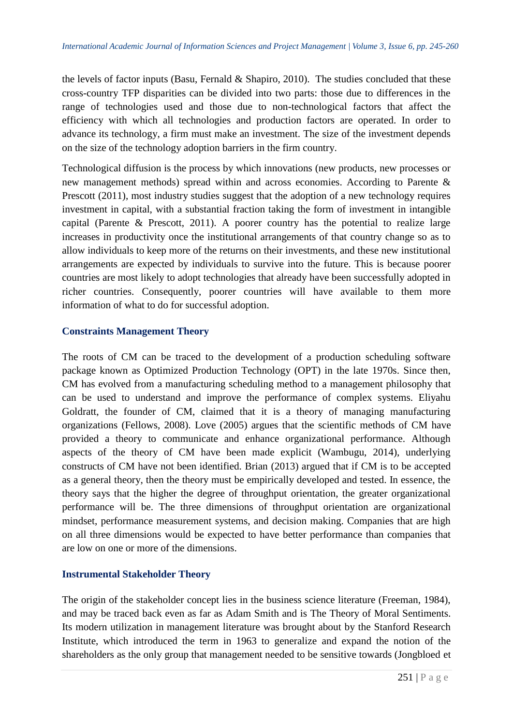the levels of factor inputs (Basu, Fernald  $\&$  Shapiro, 2010). The studies concluded that these cross-country TFP disparities can be divided into two parts: those due to differences in the range of technologies used and those due to non-technological factors that affect the efficiency with which all technologies and production factors are operated. In order to advance its technology, a firm must make an investment. The size of the investment depends on the size of the technology adoption barriers in the firm country.

Technological diffusion is the process by which innovations (new products, new processes or new management methods) spread within and across economies. According to Parente & Prescott (2011), most industry studies suggest that the adoption of a new technology requires investment in capital, with a substantial fraction taking the form of investment in intangible capital (Parente & Prescott, 2011). A poorer country has the potential to realize large increases in productivity once the institutional arrangements of that country change so as to allow individuals to keep more of the returns on their investments, and these new institutional arrangements are expected by individuals to survive into the future. This is because poorer countries are most likely to adopt technologies that already have been successfully adopted in richer countries. Consequently, poorer countries will have available to them more information of what to do for successful adoption.

#### **Constraints Management Theory**

The roots of CM can be traced to the development of a production scheduling software package known as Optimized Production Technology (OPT) in the late 1970s. Since then, CM has evolved from a manufacturing scheduling method to a management philosophy that can be used to understand and improve the performance of complex systems. Eliyahu Goldratt, the founder of CM, claimed that it is a theory of managing manufacturing organizations (Fellows, 2008). Love (2005) argues that the scientific methods of CM have provided a theory to communicate and enhance organizational performance. Although aspects of the theory of CM have been made explicit (Wambugu, 2014), underlying constructs of CM have not been identified. Brian (2013) argued that if CM is to be accepted as a general theory, then the theory must be empirically developed and tested. In essence, the theory says that the higher the degree of throughput orientation, the greater organizational performance will be. The three dimensions of throughput orientation are organizational mindset, performance measurement systems, and decision making. Companies that are high on all three dimensions would be expected to have better performance than companies that are low on one or more of the dimensions.

## **Instrumental Stakeholder Theory**

The origin of the stakeholder concept lies in the business science literature (Freeman, 1984), and may be traced back even as far as Adam Smith and is The Theory of Moral Sentiments. Its modern utilization in management literature was brought about by the Stanford Research Institute, which introduced the term in 1963 to generalize and expand the notion of the shareholders as the only group that management needed to be sensitive towards (Jongbloed et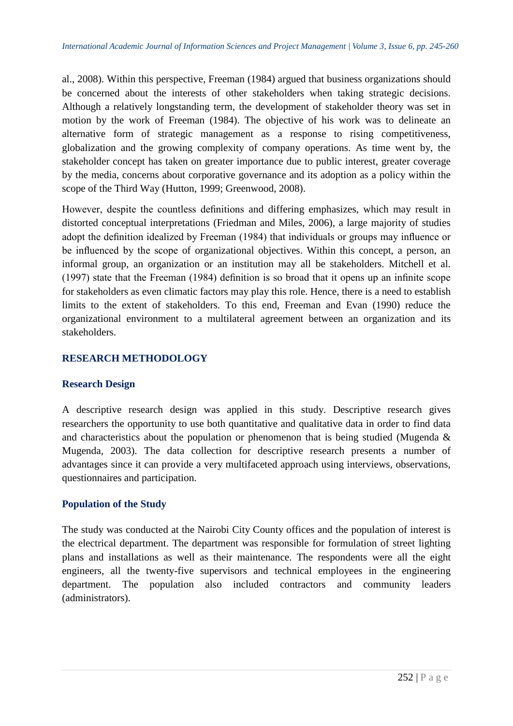al., 2008). Within this perspective, Freeman (1984) argued that business organizations should be concerned about the interests of other stakeholders when taking strategic decisions. Although a relatively longstanding term, the development of stakeholder theory was set in motion by the work of Freeman (1984). The objective of his work was to delineate an alternative form of strategic management as a response to rising competitiveness, globalization and the growing complexity of company operations. As time went by, the stakeholder concept has taken on greater importance due to public interest, greater coverage by the media, concerns about corporative governance and its adoption as a policy within the scope of the Third Way (Hutton, 1999; Greenwood, 2008).

However, despite the countless definitions and differing emphasizes, which may result in distorted conceptual interpretations (Friedman and Miles, 2006), a large majority of studies adopt the definition idealized by Freeman (1984) that individuals or groups may influence or be influenced by the scope of organizational objectives. Within this concept, a person, an informal group, an organization or an institution may all be stakeholders. Mitchell et al. (1997) state that the Freeman (1984) definition is so broad that it opens up an infinite scope for stakeholders as even climatic factors may play this role. Hence, there is a need to establish limits to the extent of stakeholders. To this end, Freeman and Evan (1990) reduce the organizational environment to a multilateral agreement between an organization and its stakeholders.

## **RESEARCH METHODOLOGY**

## **Research Design**

A descriptive research design was applied in this study. Descriptive research gives researchers the opportunity to use both quantitative and qualitative data in order to find data and characteristics about the population or phenomenon that is being studied (Mugenda & Mugenda, 2003). The data collection for descriptive research presents a number of advantages since it can provide a very multifaceted approach using interviews, observations, questionnaires and participation.

## **Population of the Study**

The study was conducted at the Nairobi City County offices and the population of interest is the electrical department. The department was responsible for formulation of street lighting plans and installations as well as their maintenance. The respondents were all the eight engineers, all the twenty-five supervisors and technical employees in the engineering department. The population also included contractors and community leaders (administrators).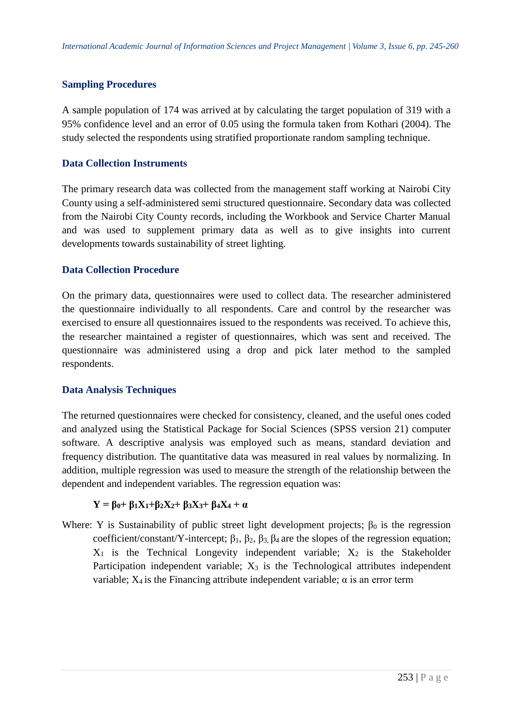## **Sampling Procedures**

A sample population of 174 was arrived at by calculating the target population of 319 with a 95% confidence level and an error of 0.05 using the formula taken from Kothari (2004). The study selected the respondents using stratified proportionate random sampling technique.

#### **Data Collection Instruments**

The primary research data was collected from the management staff working at Nairobi City County using a self-administered semi structured questionnaire. Secondary data was collected from the Nairobi City County records, including the Workbook and Service Charter Manual and was used to supplement primary data as well as to give insights into current developments towards sustainability of street lighting.

## **Data Collection Procedure**

On the primary data, questionnaires were used to collect data. The researcher administered the questionnaire individually to all respondents. Care and control by the researcher was exercised to ensure all questionnaires issued to the respondents was received. To achieve this, the researcher maintained a register of questionnaires, which was sent and received. The questionnaire was administered using a drop and pick later method to the sampled respondents.

## **Data Analysis Techniques**

The returned questionnaires were checked for consistency, cleaned, and the useful ones coded and analyzed using the Statistical Package for Social Sciences (SPSS version 21) computer software. A descriptive analysis was employed such as means, standard deviation and frequency distribution. The quantitative data was measured in real values by normalizing. In addition, multiple regression was used to measure the strength of the relationship between the dependent and independent variables. The regression equation was:

## $Y = \beta_0 + \beta_1 X_1 + \beta_2 X_2 + \beta_3 X_3 + \beta_4 X_4 + \alpha$

Where: Y is Sustainability of public street light development projects;  $\beta_0$  is the regression coefficient/constant/Y-intercept;  $β_1$ ,  $β_2$ ,  $β_3$ ,  $β_4$  are the slopes of the regression equation;  $X_1$  is the Technical Longevity independent variable;  $X_2$  is the Stakeholder Participation independent variable;  $X_3$  is the Technological attributes independent variable;  $X_4$  is the Financing attribute independent variable;  $\alpha$  is an error term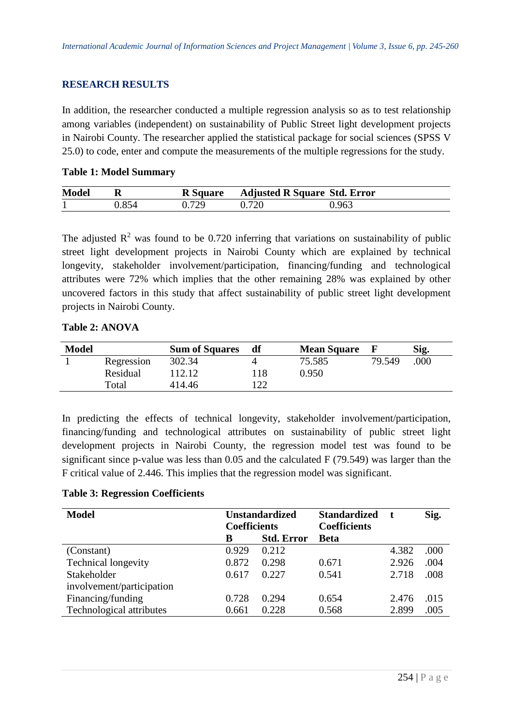#### **RESEARCH RESULTS**

In addition, the researcher conducted a multiple regression analysis so as to test relationship among variables (independent) on sustainability of Public Street light development projects in Nairobi County. The researcher applied the statistical package for social sciences (SPSS V 25.0) to code, enter and compute the measurements of the multiple regressions for the study.

#### **Table 1: Model Summary**

| <b>Model</b> |       |       | R Square Adjusted R Square Std. Error |       |
|--------------|-------|-------|---------------------------------------|-------|
|              | 0.854 | በ 729 | 0.720                                 | ).963 |

The adjusted  $\mathbb{R}^2$  was found to be 0.720 inferring that variations on sustainability of public street light development projects in Nairobi County which are explained by technical longevity, stakeholder involvement/participation, financing/funding and technological attributes were 72% which implies that the other remaining 28% was explained by other uncovered factors in this study that affect sustainability of public street light development projects in Nairobi County.

#### **Table 2: ANOVA**

| <b>Model</b> |            | <b>Sum of Squares</b> | df  | <b>Mean Square</b> | К      | Sig. |
|--------------|------------|-----------------------|-----|--------------------|--------|------|
|              | Regression | 302.34                |     | 75.585             | 79.549 | .000 |
|              | Residual   | 112.12                | 18  | 0.950              |        |      |
|              | Total      | 414.46                | 122 |                    |        |      |

In predicting the effects of technical longevity, stakeholder involvement/participation, financing/funding and technological attributes on sustainability of public street light development projects in Nairobi County, the regression model test was found to be significant since p-value was less than 0.05 and the calculated F (79.549) was larger than the F critical value of 2.446. This implies that the regression model was significant.

#### **Table 3: Regression Coefficients**

| <b>Model</b>              | <b>Unstandardized</b><br><b>Coefficients</b> |                   | <b>Standardized</b><br><b>Coefficients</b> |       | Sig. |
|---------------------------|----------------------------------------------|-------------------|--------------------------------------------|-------|------|
|                           | В                                            | <b>Std. Error</b> | <b>Beta</b>                                |       |      |
| (Constant)                | 0.929                                        | 0.212             |                                            | 4.382 | .000 |
| Technical longevity       | 0.872                                        | 0.298             | 0.671                                      | 2.926 | .004 |
| Stakeholder               | 0.617                                        | 0.227             | 0.541                                      | 2.718 | .008 |
| involvement/participation |                                              |                   |                                            |       |      |
| Financing/funding         | 0.728                                        | 0.294             | 0.654                                      | 2.476 | .015 |
| Technological attributes  | 0.661                                        | 0.228             | 0.568                                      | 2.899 | .005 |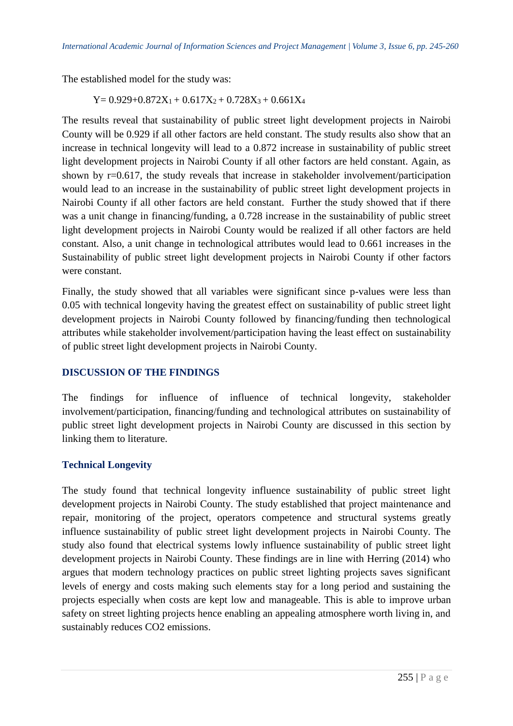The established model for the study was:

 $Y= 0.929+0.872X_1+0.617X_2+0.728X_3+0.661X_4$ 

The results reveal that sustainability of public street light development projects in Nairobi County will be 0.929 if all other factors are held constant. The study results also show that an increase in technical longevity will lead to a 0.872 increase in sustainability of public street light development projects in Nairobi County if all other factors are held constant. Again, as shown by  $r=0.617$ , the study reveals that increase in stakeholder involvement/participation would lead to an increase in the sustainability of public street light development projects in Nairobi County if all other factors are held constant. Further the study showed that if there was a unit change in financing/funding, a 0.728 increase in the sustainability of public street light development projects in Nairobi County would be realized if all other factors are held constant. Also, a unit change in technological attributes would lead to 0.661 increases in the Sustainability of public street light development projects in Nairobi County if other factors were constant.

Finally, the study showed that all variables were significant since p-values were less than 0.05 with technical longevity having the greatest effect on sustainability of public street light development projects in Nairobi County followed by financing/funding then technological attributes while stakeholder involvement/participation having the least effect on sustainability of public street light development projects in Nairobi County.

## **DISCUSSION OF THE FINDINGS**

The findings for influence of influence of technical longevity, stakeholder involvement/participation, financing/funding and technological attributes on sustainability of public street light development projects in Nairobi County are discussed in this section by linking them to literature.

## **Technical Longevity**

The study found that technical longevity influence sustainability of public street light development projects in Nairobi County. The study established that project maintenance and repair, monitoring of the project, operators competence and structural systems greatly influence sustainability of public street light development projects in Nairobi County. The study also found that electrical systems lowly influence sustainability of public street light development projects in Nairobi County. These findings are in line with Herring (2014) who argues that modern technology practices on public street lighting projects saves significant levels of energy and costs making such elements stay for a long period and sustaining the projects especially when costs are kept low and manageable. This is able to improve urban safety on street lighting projects hence enabling an appealing atmosphere worth living in, and sustainably reduces CO2 emissions.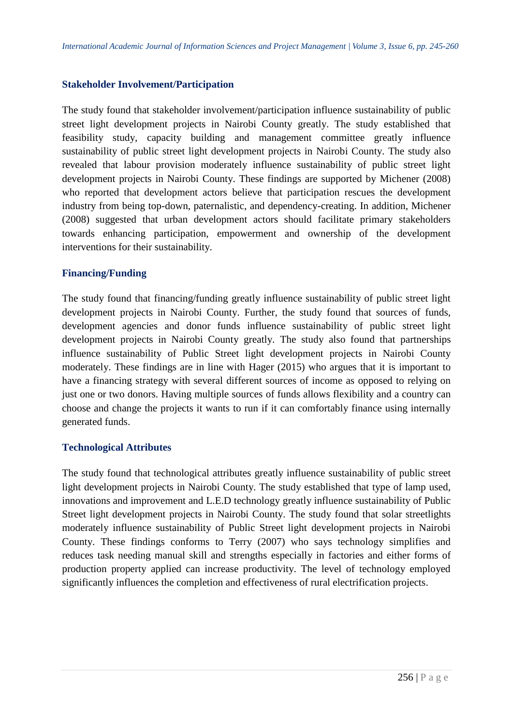#### **Stakeholder Involvement/Participation**

The study found that stakeholder involvement/participation influence sustainability of public street light development projects in Nairobi County greatly. The study established that feasibility study, capacity building and management committee greatly influence sustainability of public street light development projects in Nairobi County. The study also revealed that labour provision moderately influence sustainability of public street light development projects in Nairobi County. These findings are supported by Michener (2008) who reported that development actors believe that participation rescues the development industry from being top-down, paternalistic, and dependency-creating. In addition, Michener (2008) suggested that urban development actors should facilitate primary stakeholders towards enhancing participation, empowerment and ownership of the development interventions for their sustainability.

## **Financing/Funding**

The study found that financing/funding greatly influence sustainability of public street light development projects in Nairobi County. Further, the study found that sources of funds, development agencies and donor funds influence sustainability of public street light development projects in Nairobi County greatly. The study also found that partnerships influence sustainability of Public Street light development projects in Nairobi County moderately. These findings are in line with Hager (2015) who argues that it is important to have a financing strategy with several different sources of income as opposed to relying on just one or two donors. Having multiple sources of funds allows flexibility and a country can choose and change the projects it wants to run if it can comfortably finance using internally generated funds.

#### **Technological Attributes**

The study found that technological attributes greatly influence sustainability of public street light development projects in Nairobi County. The study established that type of lamp used, innovations and improvement and L.E.D technology greatly influence sustainability of Public Street light development projects in Nairobi County. The study found that solar streetlights moderately influence sustainability of Public Street light development projects in Nairobi County. These findings conforms to Terry (2007) who says technology simplifies and reduces task needing manual skill and strengths especially in factories and either forms of production property applied can increase productivity. The level of technology employed significantly influences the completion and effectiveness of rural electrification projects.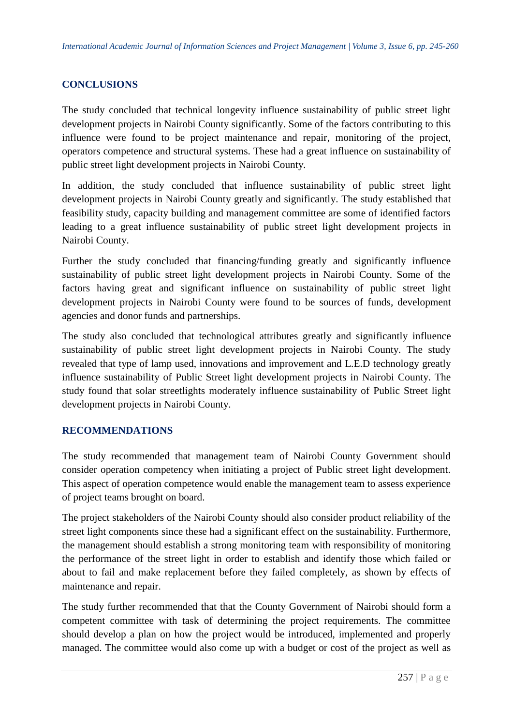# **CONCLUSIONS**

The study concluded that technical longevity influence sustainability of public street light development projects in Nairobi County significantly. Some of the factors contributing to this influence were found to be project maintenance and repair, monitoring of the project, operators competence and structural systems. These had a great influence on sustainability of public street light development projects in Nairobi County.

In addition, the study concluded that influence sustainability of public street light development projects in Nairobi County greatly and significantly. The study established that feasibility study, capacity building and management committee are some of identified factors leading to a great influence sustainability of public street light development projects in Nairobi County.

Further the study concluded that financing/funding greatly and significantly influence sustainability of public street light development projects in Nairobi County. Some of the factors having great and significant influence on sustainability of public street light development projects in Nairobi County were found to be sources of funds, development agencies and donor funds and partnerships.

The study also concluded that technological attributes greatly and significantly influence sustainability of public street light development projects in Nairobi County. The study revealed that type of lamp used, innovations and improvement and L.E.D technology greatly influence sustainability of Public Street light development projects in Nairobi County. The study found that solar streetlights moderately influence sustainability of Public Street light development projects in Nairobi County.

## **RECOMMENDATIONS**

The study recommended that management team of Nairobi County Government should consider operation competency when initiating a project of Public street light development. This aspect of operation competence would enable the management team to assess experience of project teams brought on board.

The project stakeholders of the Nairobi County should also consider product reliability of the street light components since these had a significant effect on the sustainability. Furthermore, the management should establish a strong monitoring team with responsibility of monitoring the performance of the street light in order to establish and identify those which failed or about to fail and make replacement before they failed completely, as shown by effects of maintenance and repair.

The study further recommended that that the County Government of Nairobi should form a competent committee with task of determining the project requirements. The committee should develop a plan on how the project would be introduced, implemented and properly managed. The committee would also come up with a budget or cost of the project as well as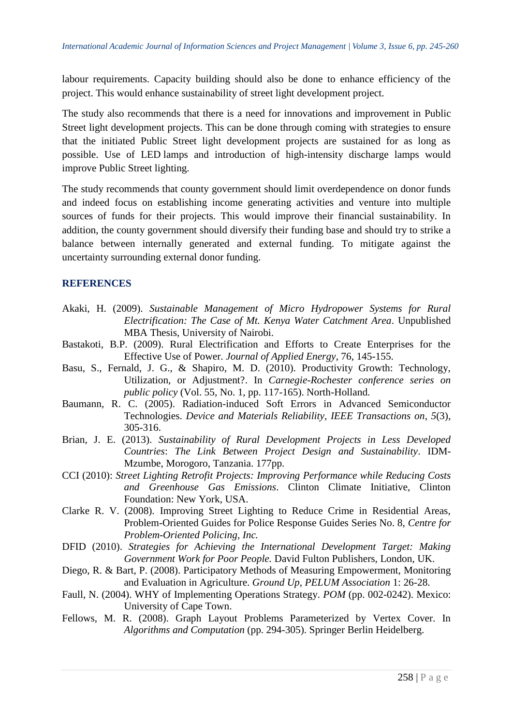labour requirements. Capacity building should also be done to enhance efficiency of the project. This would enhance sustainability of street light development project.

The study also recommends that there is a need for innovations and improvement in Public Street light development projects. This can be done through coming with strategies to ensure that the initiated Public Street light development projects are sustained for as long as possible. Use of LED lamps and introduction of high-intensity discharge lamps would improve Public Street lighting.

The study recommends that county government should limit overdependence on donor funds and indeed focus on establishing income generating activities and venture into multiple sources of funds for their projects. This would improve their financial sustainability. In addition, the county government should diversify their funding base and should try to strike a balance between internally generated and external funding. To mitigate against the uncertainty surrounding external donor funding.

#### **REFERENCES**

- Akaki, H. (2009). *Sustainable Management of Micro Hydropower Systems for Rural Electrification: The Case of Mt. Kenya Water Catchment Area*. Unpublished MBA Thesis, University of Nairobi.
- Bastakoti, B.P. (2009). Rural Electrification and Efforts to Create Enterprises for the Effective Use of Power. *Journal of Applied Energy*, 76, 145-155.
- Basu, S., Fernald, J. G., & Shapiro, M. D. (2010). Productivity Growth: Technology, Utilization, or Adjustment?. In *Carnegie-Rochester conference series on public policy* (Vol. 55, No. 1, pp. 117-165). North-Holland.
- Baumann, R. C. (2005). Radiation-induced Soft Errors in Advanced Semiconductor Technologies. *Device and Materials Reliability, IEEE Transactions on*, *5*(3), 305-316.
- Brian, J. E. (2013). *Sustainability of Rural Development Projects in Less Developed Countries*: *The Link Between Project Design and Sustainability*. IDM-Mzumbe, Morogoro, Tanzania. 177pp.
- CCI (2010): *Street Lighting Retrofit Projects: Improving Performance while Reducing Costs and Greenhouse Gas Emissions*. Clinton Climate Initiative, Clinton Foundation: New York, USA.
- Clarke R. V. (2008). Improving Street Lighting to Reduce Crime in Residential Areas, Problem-Oriented Guides for Police Response Guides Series No. 8, *Centre for Problem-Oriented Policing, Inc.*
- DFID (2010). *Strategies for Achieving the International Development Target: Making Government Work for Poor People.* David Fulton Publishers, London, UK.
- Diego, R. & Bart, P. (2008). Participatory Methods of Measuring Empowerment, Monitoring and Evaluation in Agriculture. *Ground Up*, *PELUM Association* 1: 26-28.
- Faull, N. (2004). WHY of Implementing Operations Strategy. *POM* (pp. 002-0242). Mexico: University of Cape Town.
- Fellows, M. R. (2008). Graph Layout Problems Parameterized by Vertex Cover. In *Algorithms and Computation* (pp. 294-305). Springer Berlin Heidelberg.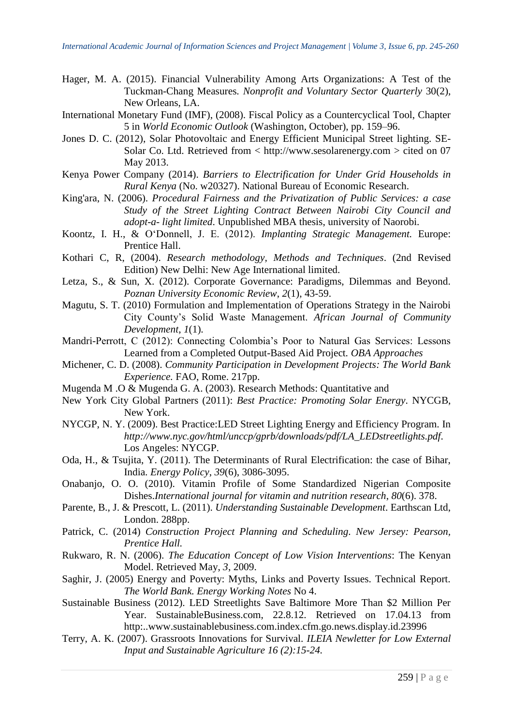- Hager, M. A. (2015). Financial Vulnerability Among Arts Organizations: A Test of the Tuckman-Chang Measures*. Nonprofit and Voluntary Sector Quarterly* 30(2), New Orleans, LA.
- International Monetary Fund (IMF), (2008). Fiscal Policy as a Countercyclical Tool, Chapter 5 in *World Economic Outlook* (Washington, October), pp. 159–96.
- Jones D. C. (2012), Solar Photovoltaic and Energy Efficient Municipal Street lighting. SE-Solar Co. Ltd. Retrieved from < http://www.sesolarenergy.com > cited on 07 May 2013.
- Kenya Power Company (2014). *Barriers to Electrification for Under Grid Households in Rural Kenya* (No. w20327). National Bureau of Economic Research.
- King'ara, N. (2006). *Procedural Fairness and the Privatization of Public Services: a case Study of the Street Lighting Contract Between Nairobi City Council and adopt-a- light limited*. Unpublished MBA thesis, university of Naorobi.
- Koontz, I. H., & O'Donnell, J. E. (2012). *Implanting Strategic Management.* Europe: Prentice Hall.
- Kothari C, R, (2004). *Research methodology, Methods and Techniques*. (2nd Revised Edition) New Delhi: New Age International limited.
- Letza, S., & Sun, X. (2012). Corporate Governance: Paradigms, Dilemmas and Beyond. *Poznan University Economic Review*, *2*(1), 43-59.
- Magutu, S. T. (2010) Formulation and Implementation of Operations Strategy in the Nairobi City County's Solid Waste Management. *African Journal of Community Development*, *1*(1).
- Mandri-Perrott, C (2012): Connecting Colombia's Poor to Natural Gas Services: Lessons Learned from a Completed Output-Based Aid Project*. OBA Approaches*
- Michener, C. D. (2008). *Community Participation in Development Projects: The World Bank Experience.* FAO, Rome. 217pp.
- Mugenda M .O & Mugenda G. A. (2003). Research Methods: Quantitative and
- New York City Global Partners (2011): *Best Practice: Promoting Solar Energy*. NYCGB, New York.
- NYCGP, N. Y. (2009). Best Practice:LED Street Lighting Energy and Efficiency Program. In *[http://www.nyc.gov/html/unccp/gprb/downloads/pdf/LA\\_LEDstreetlights.pdf.](http://www.nyc.gov/html/unccp/gprb/downloads/pdf/LA_LEDstreetlights.pdf)*  Los Angeles: NYCGP.
- Oda, H., & Tsujita, Y. (2011). The Determinants of Rural Electrification: the case of Bihar, India. *Energy Policy*, *39*(6), 3086-3095.
- Onabanjo, O. O. (2010). Vitamin Profile of Some Standardized Nigerian Composite Dishes.*International journal for vitamin and nutrition research*, *80*(6). 378.
- Parente, B., J. & Prescott, L. (2011). *Understanding Sustainable Development*. Earthscan Ltd, London. 288pp.
- Patrick, C. (2014) *Construction Project Planning and Scheduling. New Jersey: Pearson, Prentice Hall.*
- Rukwaro, R. N. (2006). *The Education Concept of Low Vision Interventions*: The Kenyan Model. Retrieved May, *3*, 2009.
- Saghir, J. (2005) Energy and Poverty: Myths, Links and Poverty Issues. Technical Report. *The World Bank. Energy Working Notes* No 4.
- Sustainable Business (2012). LED Streetlights Save Baltimore More Than \$2 Million Per Year. SustainableBusiness.com, 22.8.12. Retrieved on 17.04.13 from http:..www.sustainablebusiness.com.index.cfm.go.news.display.id.23996
- Terry, A. K. (2007). Grassroots Innovations for Survival. *ILEIA Newletter for Low External Input and Sustainable Agriculture 16 (2):15-24.*